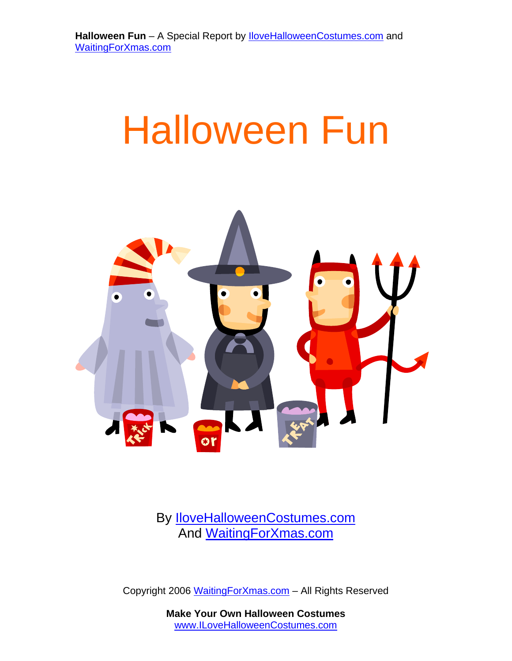# Halloween Fun



By [IloveHalloweenCostumes.com](http://www.ilovehalloweencostumes.com/) And [WaitingForXmas.com](http://www.waitingforxmas.com/) 

Copyright 2006 WaitingForXmas.com – All Rights Reserved

**Make Your Own Halloween Costumes**  www.ILoveHalloweenCostumes.com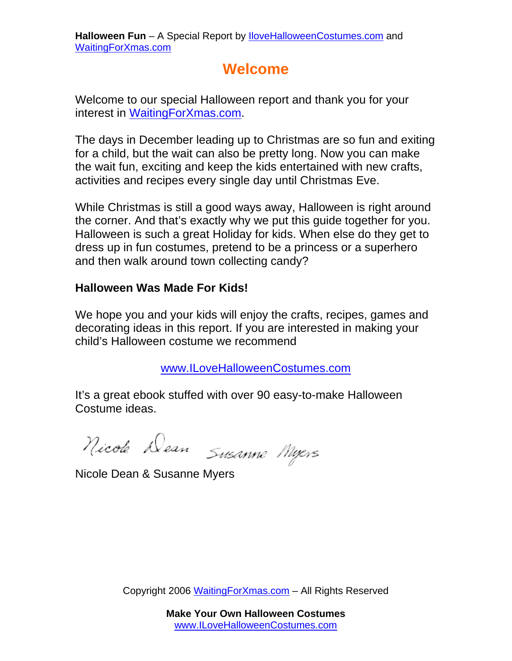# **Welcome**

<span id="page-1-0"></span>Welcome to our special Halloween report and thank you for your interest in [WaitingForXmas.com.](http://www.waitingforxmas.com/)

The days in December leading up to Christmas are so fun and exiting for a child, but the wait can also be pretty long. Now you can make the wait fun, exciting and keep the kids entertained with new crafts, activities and recipes every single day until Christmas Eve.

While Christmas is still a good ways away, Halloween is right around the corner. And that's exactly why we put this guide together for you. Halloween is such a great Holiday for kids. When else do they get to dress up in fun costumes, pretend to be a princess or a superhero and then walk around town collecting candy?

#### **Halloween Was Made For Kids!**

We hope you and your kids will enjoy the crafts, recipes, games and decorating ideas in this report. If you are interested in making your child's Halloween costume we recommend

[www.ILoveHalloweenCostumes.com](http://www.ilovehalloweencostumes.com/)

It's a great ebook stuffed with over 90 easy-to-make Halloween Costume ideas.

Nicole Dean Susanne Myers

Nicole Dean & Susanne Myers

Copyright 2006 WaitingForXmas.com – All Rights Reserved

**Make Your Own Halloween Costumes**  www.ILoveHalloweenCostumes.com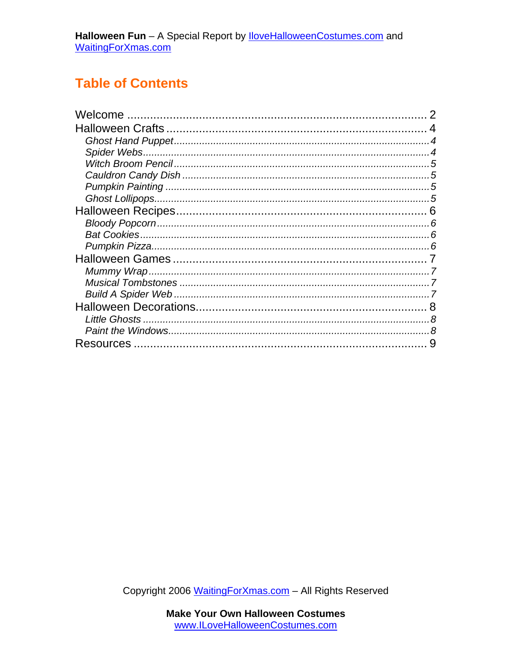# **Table of Contents**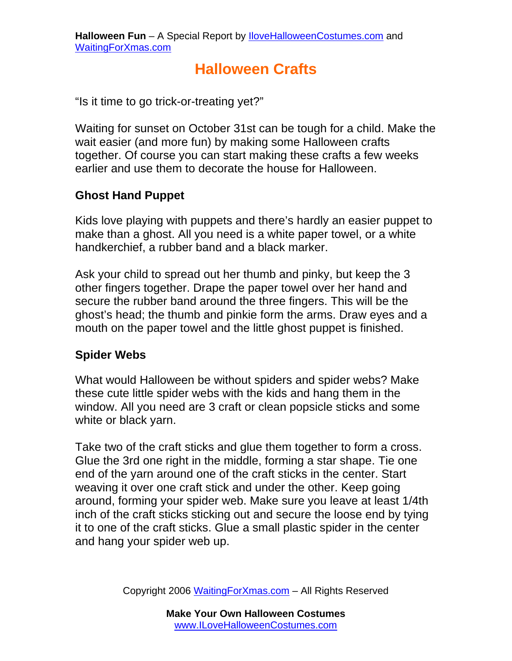# **Halloween Crafts**

<span id="page-3-0"></span>"Is it time to go trick-or-treating yet?"

Waiting for sunset on October 31st can be tough for a child. Make the wait easier (and more fun) by making some Halloween crafts together. Of course you can start making these crafts a few weeks earlier and use them to decorate the house for Halloween.

# **Ghost Hand Puppet**

Kids love playing with puppets and there's hardly an easier puppet to make than a ghost. All you need is a white paper towel, or a white handkerchief, a rubber band and a black marker.

Ask your child to spread out her thumb and pinky, but keep the 3 other fingers together. Drape the paper towel over her hand and secure the rubber band around the three fingers. This will be the ghost's head; the thumb and pinkie form the arms. Draw eyes and a mouth on the paper towel and the little ghost puppet is finished.

# **Spider Webs**

What would Halloween be without spiders and spider webs? Make these cute little spider webs with the kids and hang them in the window. All you need are 3 craft or clean popsicle sticks and some white or black yarn.

Take two of the craft sticks and glue them together to form a cross. Glue the 3rd one right in the middle, forming a star shape. Tie one end of the yarn around one of the craft sticks in the center. Start weaving it over one craft stick and under the other. Keep going around, forming your spider web. Make sure you leave at least 1/4th inch of the craft sticks sticking out and secure the loose end by tying it to one of the craft sticks. Glue a small plastic spider in the center and hang your spider web up.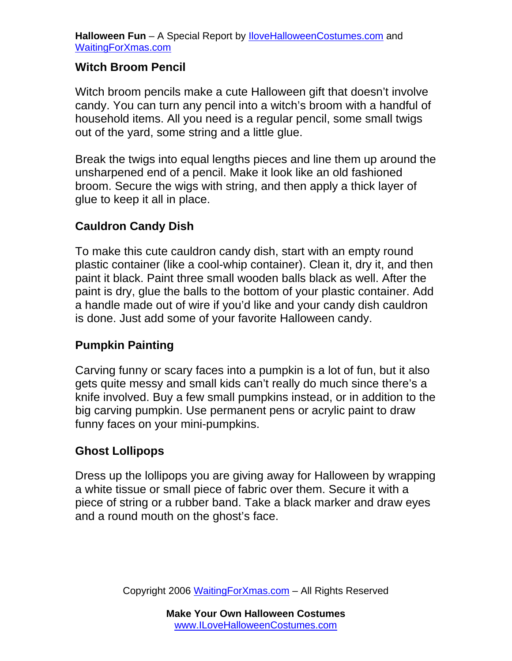#### <span id="page-4-0"></span>**Witch Broom Pencil**

Witch broom pencils make a cute Halloween gift that doesn't involve candy. You can turn any pencil into a witch's broom with a handful of household items. All you need is a regular pencil, some small twigs out of the yard, some string and a little glue.

Break the twigs into equal lengths pieces and line them up around the unsharpened end of a pencil. Make it look like an old fashioned broom. Secure the wigs with string, and then apply a thick layer of glue to keep it all in place.

#### **Cauldron Candy Dish**

To make this cute cauldron candy dish, start with an empty round plastic container (like a cool-whip container). Clean it, dry it, and then paint it black. Paint three small wooden balls black as well. After the paint is dry, glue the balls to the bottom of your plastic container. Add a handle made out of wire if you'd like and your candy dish cauldron is done. Just add some of your favorite Halloween candy.

## **Pumpkin Painting**

Carving funny or scary faces into a pumpkin is a lot of fun, but it also gets quite messy and small kids can't really do much since there's a knife involved. Buy a few small pumpkins instead, or in addition to the big carving pumpkin. Use permanent pens or acrylic paint to draw funny faces on your mini-pumpkins.

## **Ghost Lollipops**

Dress up the lollipops you are giving away for Halloween by wrapping a white tissue or small piece of fabric over them. Secure it with a piece of string or a rubber band. Take a black marker and draw eyes and a round mouth on the ghost's face.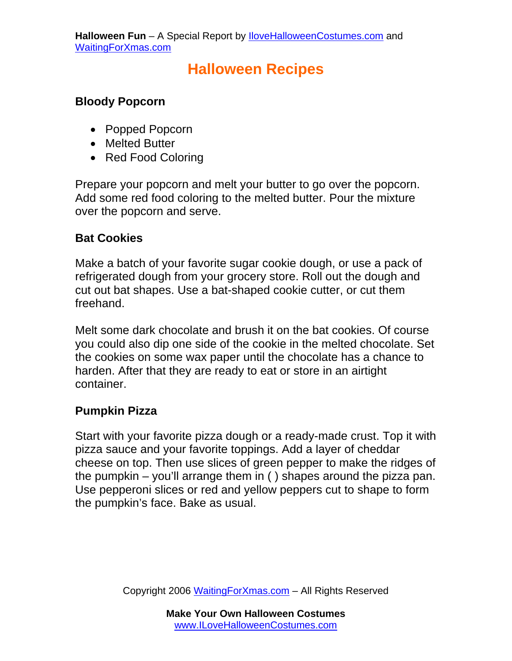# **Halloween Recipes**

## <span id="page-5-0"></span>**Bloody Popcorn**

- Popped Popcorn
- Melted Butter
- Red Food Coloring

Prepare your popcorn and melt your butter to go over the popcorn. Add some red food coloring to the melted butter. Pour the mixture over the popcorn and serve.

## **Bat Cookies**

Make a batch of your favorite sugar cookie dough, or use a pack of refrigerated dough from your grocery store. Roll out the dough and cut out bat shapes. Use a bat-shaped cookie cutter, or cut them freehand.

Melt some dark chocolate and brush it on the bat cookies. Of course you could also dip one side of the cookie in the melted chocolate. Set the cookies on some wax paper until the chocolate has a chance to harden. After that they are ready to eat or store in an airtight container.

## **Pumpkin Pizza**

Start with your favorite pizza dough or a ready-made crust. Top it with pizza sauce and your favorite toppings. Add a layer of cheddar cheese on top. Then use slices of green pepper to make the ridges of the pumpkin – you'll arrange them in ( ) shapes around the pizza pan. Use pepperoni slices or red and yellow peppers cut to shape to form the pumpkin's face. Bake as usual.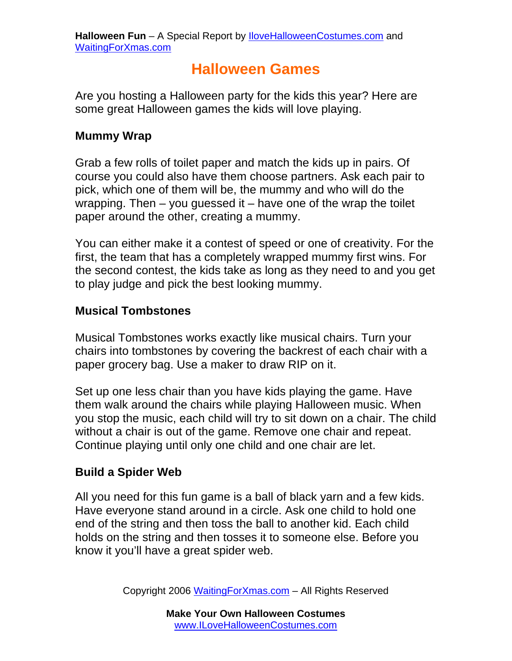# **Halloween Games**

<span id="page-6-0"></span>Are you hosting a Halloween party for the kids this year? Here are some great Halloween games the kids will love playing.

## **Mummy Wrap**

Grab a few rolls of toilet paper and match the kids up in pairs. Of course you could also have them choose partners. Ask each pair to pick, which one of them will be, the mummy and who will do the wrapping. Then  $-$  you guessed it  $-$  have one of the wrap the toilet paper around the other, creating a mummy.

You can either make it a contest of speed or one of creativity. For the first, the team that has a completely wrapped mummy first wins. For the second contest, the kids take as long as they need to and you get to play judge and pick the best looking mummy.

## **Musical Tombstones**

Musical Tombstones works exactly like musical chairs. Turn your chairs into tombstones by covering the backrest of each chair with a paper grocery bag. Use a maker to draw RIP on it.

Set up one less chair than you have kids playing the game. Have them walk around the chairs while playing Halloween music. When you stop the music, each child will try to sit down on a chair. The child without a chair is out of the game. Remove one chair and repeat. Continue playing until only one child and one chair are let.

#### **Build a Spider Web**

All you need for this fun game is a ball of black yarn and a few kids. Have everyone stand around in a circle. Ask one child to hold one end of the string and then toss the ball to another kid. Each child holds on the string and then tosses it to someone else. Before you know it you'll have a great spider web.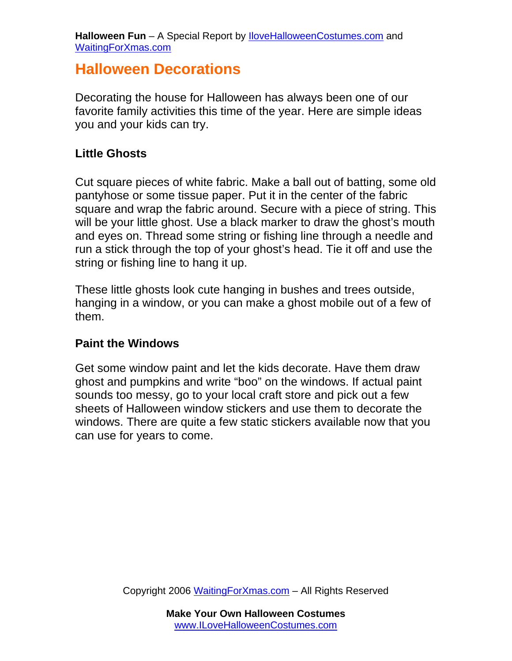# <span id="page-7-0"></span>**Halloween Decorations**

Decorating the house for Halloween has always been one of our favorite family activities this time of the year. Here are simple ideas you and your kids can try.

#### **Little Ghosts**

Cut square pieces of white fabric. Make a ball out of batting, some old pantyhose or some tissue paper. Put it in the center of the fabric square and wrap the fabric around. Secure with a piece of string. This will be your little ghost. Use a black marker to draw the ghost's mouth and eyes on. Thread some string or fishing line through a needle and run a stick through the top of your ghost's head. Tie it off and use the string or fishing line to hang it up.

These little ghosts look cute hanging in bushes and trees outside, hanging in a window, or you can make a ghost mobile out of a few of them.

#### **Paint the Windows**

Get some window paint and let the kids decorate. Have them draw ghost and pumpkins and write "boo" on the windows. If actual paint sounds too messy, go to your local craft store and pick out a few sheets of Halloween window stickers and use them to decorate the windows. There are quite a few static stickers available now that you can use for years to come.